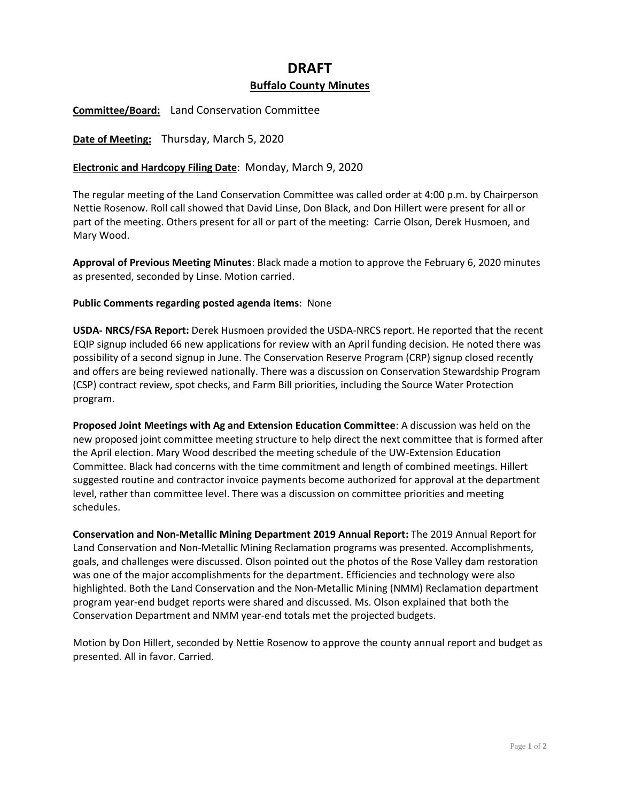## **DRAFT Buffalo County Minutes**

**Committee/Board:** Land Conservation Committee

**Date of Meeting:** Thursday, March 5, 2020

## **Electronic and Hardcopy Filing Date**: Monday, March 9, 2020

The regular meeting of the Land Conservation Committee was called order at 4:00 p.m. by Chairperson Nettie Rosenow. Roll call showed that David Linse, Don Black, and Don Hillert were present for all or part of the meeting. Others present for all or part of the meeting: Carrie Olson, Derek Husmoen, and Mary Wood.

**Approval of Previous Meeting Minutes**: Black made a motion to approve the February 6, 2020 minutes as presented, seconded by Linse. Motion carried.

## **Public Comments regarding posted agenda items**: None

**USDA- NRCS/FSA Report:** Derek Husmoen provided the USDA-NRCS report. He reported that the recent EQIP signup included 66 new applications for review with an April funding decision. He noted there was possibility of a second signup in June. The Conservation Reserve Program (CRP) signup closed recently and offers are being reviewed nationally. There was a discussion on Conservation Stewardship Program (CSP) contract review, spot checks, and Farm Bill priorities, including the Source Water Protection program.

**Proposed Joint Meetings with Ag and Extension Education Committee**: A discussion was held on the new proposed joint committee meeting structure to help direct the next committee that is formed after the April election. Mary Wood described the meeting schedule of the UW-Extension Education Committee. Black had concerns with the time commitment and length of combined meetings. Hillert suggested routine and contractor invoice payments become authorized for approval at the department level, rather than committee level. There was a discussion on committee priorities and meeting schedules.

**Conservation and Non-Metallic Mining Department 2019 Annual Report:** The 2019 Annual Report for Land Conservation and Non-Metallic Mining Reclamation programs was presented. Accomplishments, goals, and challenges were discussed. Olson pointed out the photos of the Rose Valley dam restoration was one of the major accomplishments for the department. Efficiencies and technology were also highlighted. Both the Land Conservation and the Non-Metallic Mining (NMM) Reclamation department program year-end budget reports were shared and discussed. Ms. Olson explained that both the Conservation Department and NMM year-end totals met the projected budgets.

Motion by Don Hillert, seconded by Nettie Rosenow to approve the county annual report and budget as presented. All in favor. Carried.